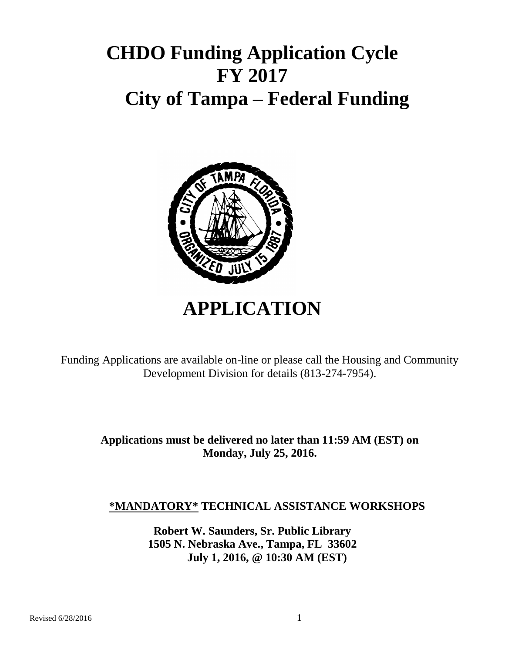# **CHDO Funding Application Cycle FY 2017 City of Tampa – Federal Funding**



# **APPLICATION**

Funding Applications are available on-line or please call the Housing and Community Development Division for details (813-274-7954).

> **Applications must be delivered no later than 11:59 AM (EST) on Monday, July 25, 2016.**

## **\*MANDATORY\* TECHNICAL ASSISTANCE WORKSHOPS**

**Robert W. Saunders, Sr. Public Library 1505 N. Nebraska Ave., Tampa, FL 33602 July 1, 2016, @ 10:30 AM (EST)**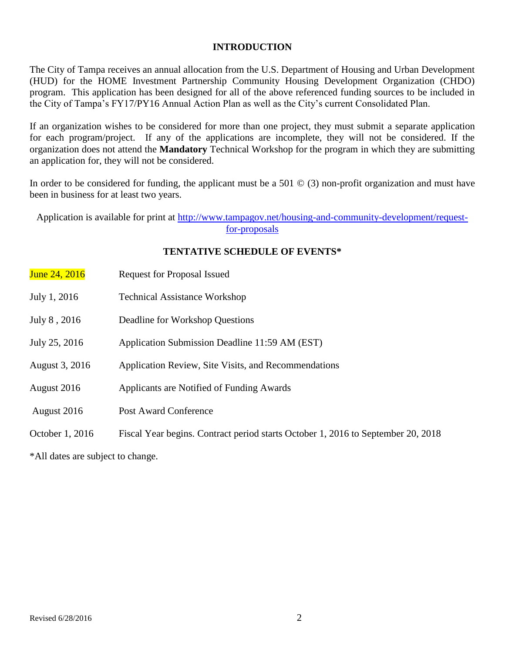## **INTRODUCTION**

The City of Tampa receives an annual allocation from the U.S. Department of Housing and Urban Development (HUD) for the HOME Investment Partnership Community Housing Development Organization (CHDO) program. This application has been designed for all of the above referenced funding sources to be included in the City of Tampa's FY17/PY16 Annual Action Plan as well as the City's current Consolidated Plan.

If an organization wishes to be considered for more than one project, they must submit a separate application for each program/project. If any of the applications are incomplete, they will not be considered. If the organization does not attend the **Mandatory** Technical Workshop for the program in which they are submitting an application for, they will not be considered.

In order to be considered for funding, the applicant must be a 501  $\odot$  (3) non-profit organization and must have been in business for at least two years.

Application is available for print at [http://www.tampagov.net/housing-and-community-development/request](http://www.tampagov.net/housing-and-community-development/request-for-proposals)[for-proposals](http://www.tampagov.net/housing-and-community-development/request-for-proposals)

## **TENTATIVE SCHEDULE OF EVENTS\***

| June 24, 2016   | <b>Request for Proposal Issued</b>                                               |
|-----------------|----------------------------------------------------------------------------------|
| July 1, 2016    | <b>Technical Assistance Workshop</b>                                             |
| July 8, 2016    | Deadline for Workshop Questions                                                  |
| July 25, 2016   | Application Submission Deadline 11:59 AM (EST)                                   |
| August 3, 2016  | Application Review, Site Visits, and Recommendations                             |
| August 2016     | Applicants are Notified of Funding Awards                                        |
| August 2016     | <b>Post Award Conference</b>                                                     |
| October 1, 2016 | Fiscal Year begins. Contract period starts October 1, 2016 to September 20, 2018 |

\*All dates are subject to change.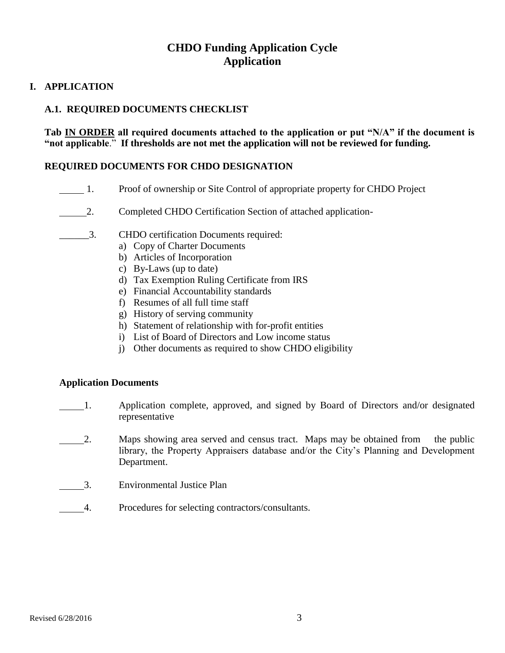## **CHDO Funding Application Cycle Application**

## **I. APPLICATION**

## **A.1. REQUIRED DOCUMENTS CHECKLIST**

**Tab IN ORDER all required documents attached to the application or put "N/A" if the document is "not applicable**." **If thresholds are not met the application will not be reviewed for funding.**

### **REQUIRED DOCUMENTS FOR CHDO DESIGNATION**

- 1. Proof of ownership or Site Control of appropriate property for CHDO Project
- 2. Completed CHDO Certification Section of attached application-
- \_\_\_\_\_\_3. CHDO certification Documents required:
	- a) Copy of Charter Documents
	- b) Articles of Incorporation
	- c) By-Laws (up to date)
	- d) Tax Exemption Ruling Certificate from IRS
	- e) Financial Accountability standards
	- f) Resumes of all full time staff
	- g) History of serving community
	- h) Statement of relationship with for-profit entities
	- i) List of Board of Directors and Low income status
	- j) Other documents as required to show CHDO eligibility

### **Application Documents**

- 1. Application complete, approved, and signed by Board of Directors and/or designated representative
- 2. Maps showing area served and census tract. Maps may be obtained from the public library, the Property Appraisers database and/or the City's Planning and Development Department.
- 3. Environmental Justice Plan
- 4. Procedures for selecting contractors/consultants.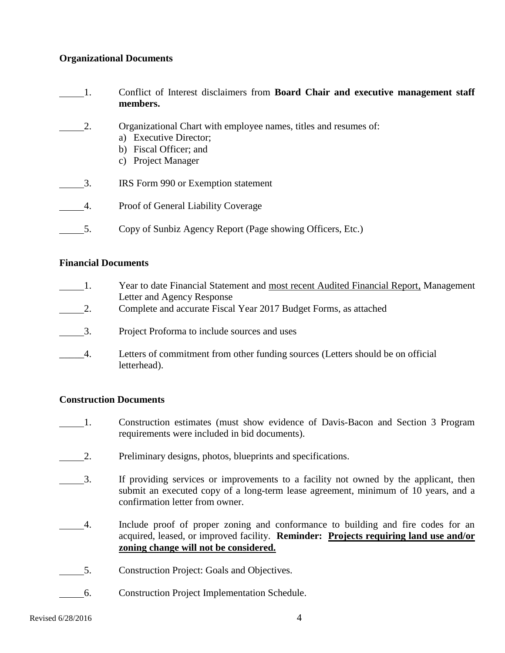## **Organizational Documents**

1. Conflict of Interest disclaimers from **Board Chair and executive management staff members.** 2. Organizational Chart with employee names, titles and resumes of: a) Executive Director; b) Fiscal Officer; and c) Project Manager 3. IRS Form 990 or Exemption statement 4. Proof of General Liability Coverage 5. Copy of Sunbiz Agency Report (Page showing Officers, Etc.)

## **Financial Documents**

| $\mathbf{1}$ . | Year to date Financial Statement and most recent Audited Financial Report, Management<br>Letter and Agency Response |
|----------------|---------------------------------------------------------------------------------------------------------------------|
| 2.             | Complete and accurate Fiscal Year 2017 Budget Forms, as attached                                                    |
| 3.             | Project Proforma to include sources and uses                                                                        |
| 4.             | Letters of commitment from other funding sources (Letters should be on official<br>letterhead).                     |

## **Construction Documents**

- 1. Construction estimates (must show evidence of Davis-Bacon and Section 3 Program requirements were included in bid documents).
- 2. Preliminary designs, photos, blueprints and specifications.
- 3. If providing services or improvements to a facility not owned by the applicant, then submit an executed copy of a long-term lease agreement, minimum of 10 years, and a confirmation letter from owner.
- 1. Include proof of proper zoning and conformance to building and fire codes for an acquired, leased, or improved facility. **Reminder: Projects requiring land use and/or zoning change will not be considered.**
- 5. Construction Project: Goals and Objectives.
- 6. Construction Project Implementation Schedule.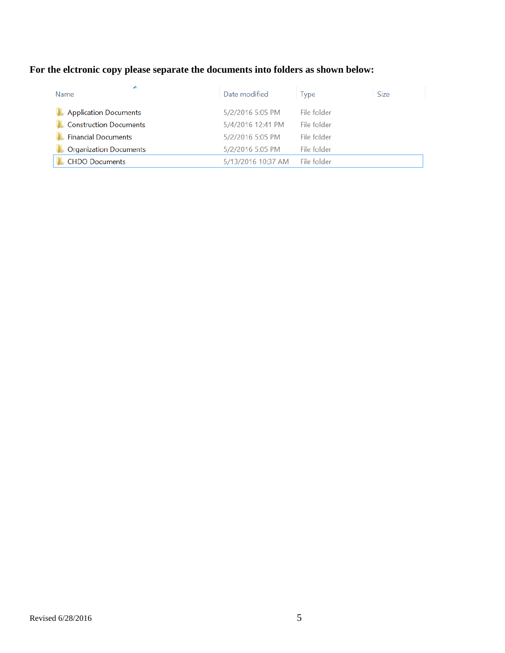## **For the elctronic copy please separate the documents into folders as shown below:**

| ×<br>Name                     | Date modified      | <b>lype</b> | <b>Size</b> |
|-------------------------------|--------------------|-------------|-------------|
| <b>Application Documents</b>  | 5/2/2016 5:05 PM   | File folder |             |
| <b>Construction Documents</b> | 5/4/2016 12:41 PM  | File folder |             |
| <b>Financial Documents</b>    | 5/2/2016 5:05 PM   | File folder |             |
| <b>Organization Documents</b> | 5/2/2016 5:05 PM   | File folder |             |
| <b>CHDO Documents</b>         | 5/13/2016 10:37 AM | File folder |             |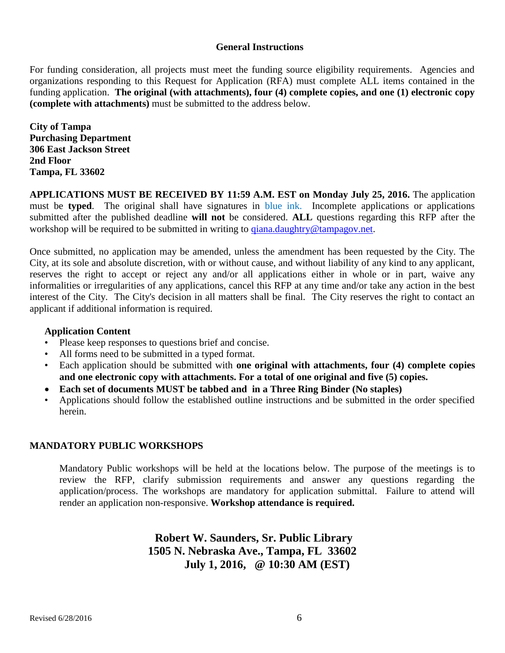#### **General Instructions**

For funding consideration, all projects must meet the funding source eligibility requirements. Agencies and organizations responding to this Request for Application (RFA) must complete ALL items contained in the funding application. **The original (with attachments), four (4) complete copies, and one (1) electronic copy (complete with attachments)** must be submitted to the address below.

**City of Tampa Purchasing Department 306 East Jackson Street 2nd Floor Tampa, FL 33602**

**APPLICATIONS MUST BE RECEIVED BY 11:59 A.M. EST on Monday July 25, 2016.** The application must be **typed**. The original shall have signatures in blue ink. Incomplete applications or applications submitted after the published deadline **will not** be considered. **ALL** questions regarding this RFP after the workshop will be required to be submitted in writing to *qiana.daughtry@tampagov.net.* 

Once submitted, no application may be amended, unless the amendment has been requested by the City. The City, at its sole and absolute discretion, with or without cause, and without liability of any kind to any applicant, reserves the right to accept or reject any and/or all applications either in whole or in part, waive any informalities or irregularities of any applications, cancel this RFP at any time and/or take any action in the best interest of the City. The City's decision in all matters shall be final. The City reserves the right to contact an applicant if additional information is required.

### **Application Content**

- Please keep responses to questions brief and concise.
- All forms need to be submitted in a typed format.
- Each application should be submitted with **one original with attachments, four (4) complete copies and one electronic copy with attachments. For a total of one original and five (5) copies.**
- **Each set of documents MUST be tabbed and in a Three Ring Binder (No staples)**
- Applications should follow the established outline instructions and be submitted in the order specified herein.

### **MANDATORY PUBLIC WORKSHOPS**

Mandatory Public workshops will be held at the locations below. The purpose of the meetings is to review the RFP, clarify submission requirements and answer any questions regarding the application/process. The workshops are mandatory for application submittal. Failure to attend will render an application non-responsive. **Workshop attendance is required.**

> **Robert W. Saunders, Sr. Public Library 1505 N. Nebraska Ave., Tampa, FL 33602 July 1, 2016, @ 10:30 AM (EST)**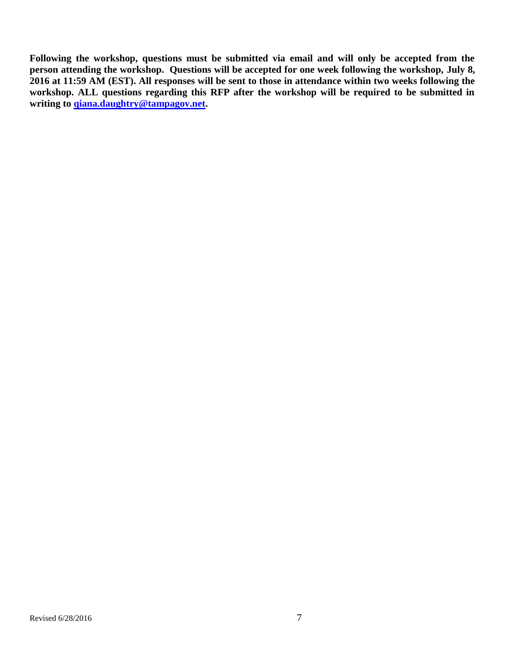**Following the workshop, questions must be submitted via email and will only be accepted from the person attending the workshop. Questions will be accepted for one week following the workshop, July 8, 2016 at 11:59 AM (EST). All responses will be sent to those in attendance within two weeks following the workshop. ALL questions regarding this RFP after the workshop will be required to be submitted in writing to [qiana.daughtry@tampagov.net.](mailto:qiana.daughtry@tampagov.net)**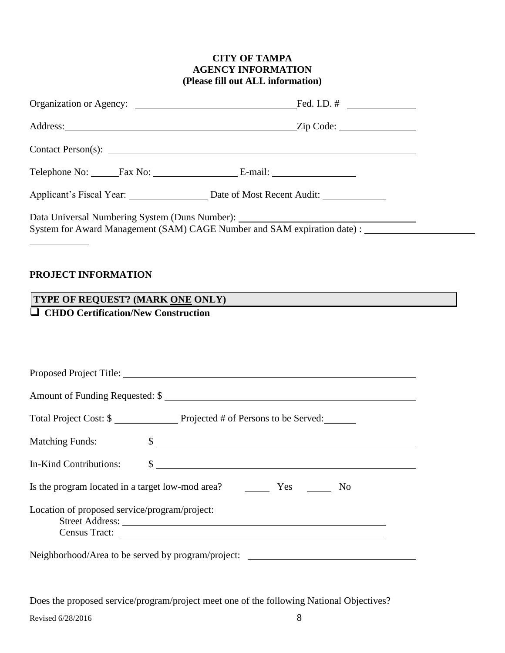## **CITY OF TAMPA AGENCY INFORMATION (Please fill out ALL information)**

| Telephone No: Fax No: E-mail:                                                                                                                                                            |  |
|------------------------------------------------------------------------------------------------------------------------------------------------------------------------------------------|--|
| Applicant's Fiscal Year: Date of Most Recent Audit:                                                                                                                                      |  |
| Data Universal Numbering System (Duns Number): _________________________________<br>System for Award Management (SAM) CAGE Number and SAM expiration date) : ___________________________ |  |

## **PROJECT INFORMATION**

## **TYPE OF REQUEST? (MARK ONE ONLY)**

## **CHDO Certification/New Construction**

|                                                    | Amount of Funding Requested: \$                         |
|----------------------------------------------------|---------------------------------------------------------|
|                                                    | Total Project Cost: \$                                  |
| <b>Matching Funds:</b>                             | $\frac{1}{2}$                                           |
| In-Kind Contributions:                             | $\frac{1}{2}$                                           |
|                                                    | Is the program located in a target low-mod area? Yes No |
| Location of proposed service/program/project:      |                                                         |
| Neighborhood/Area to be served by program/project: |                                                         |

Does the proposed service/program/project meet one of the following National Objectives?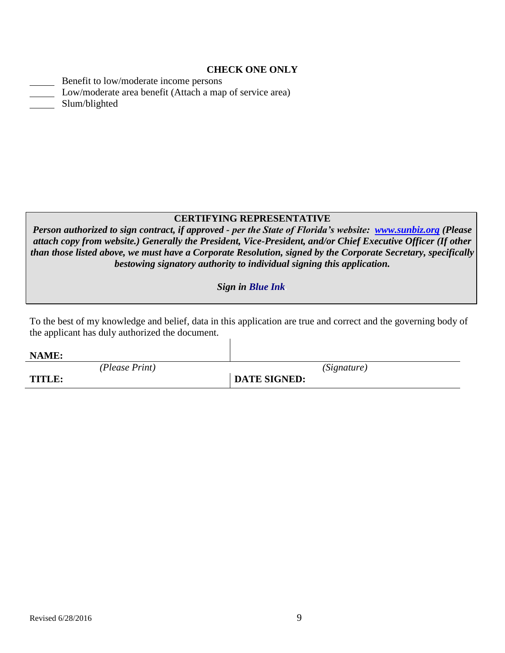#### **CHECK ONE ONLY**

| Benefit to low/moderate income persons                   |
|----------------------------------------------------------|
| Low/moderate area benefit (Attach a map of service area) |
| Slum/blighted                                            |

## **CERTIFYING REPRESENTATIVE**

*Person authorized to sign contract, if approved - per the State of Florida's website: [www.sunbiz.org](http://www.sunbiz.org/) (Please attach copy from website.) Generally the President, Vice-President, and/or Chief Executive Officer (If other than those listed above, we must have a Corporate Resolution, signed by the Corporate Secretary, specifically bestowing signatory authority to individual signing this application.*

### *Sign in Blue Ink.*

To the best of my knowledge and belief, data in this application are true and correct and the governing body of the applicant has duly authorized the document.  $\mathbf{I}$ 

| NAME:          |                     |
|----------------|---------------------|
| (Please Print) | (Signature)         |
| TITLE:         | <b>DATE SIGNED:</b> |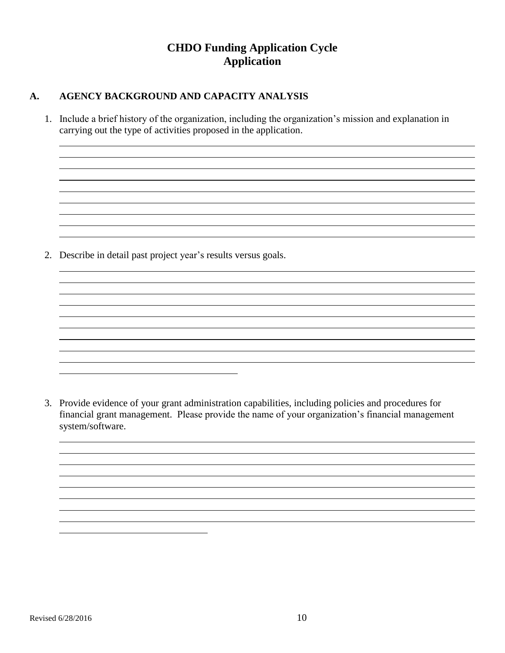## **CHDO Funding Application Cycle Application**

## **A. AGENCY BACKGROUND AND CAPACITY ANALYSIS**

1. Include a brief history of the organization, including the organization's mission and explanation in carrying out the type of activities proposed in the application.

2. Describe in detail past project year's results versus goals.

3. Provide evidence of your grant administration capabilities, including policies and procedures for financial grant management. Please provide the name of your organization's financial management system/software.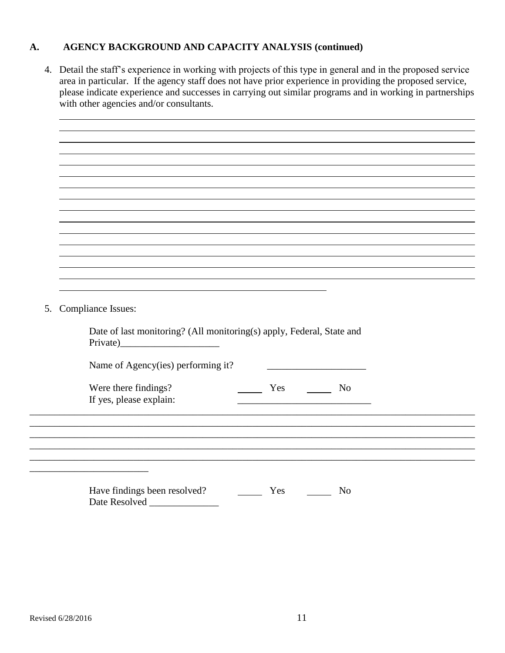## **A. AGENCY BACKGROUND AND CAPACITY ANALYSIS (continued)**

4. Detail the staff's experience in working with projects of this type in general and in the proposed service area in particular. If the agency staff does not have prior experience in providing the proposed service, please indicate experience and successes in carrying out similar programs and in working in partnerships with other agencies and/or consultants.

| <b>Compliance Issues:</b><br>5. |                                                                       |                |
|---------------------------------|-----------------------------------------------------------------------|----------------|
|                                 | Date of last monitoring? (All monitoring(s) apply, Federal, State and |                |
|                                 | Name of Agency(ies) performing it?                                    |                |
|                                 | Were there findings?<br>Yes<br>If yes, please explain:                | N <sub>o</sub> |
|                                 |                                                                       |                |
|                                 |                                                                       |                |
|                                 | Have findings been resolved?<br>Yes<br>Date Resolved                  | N <sub>o</sub> |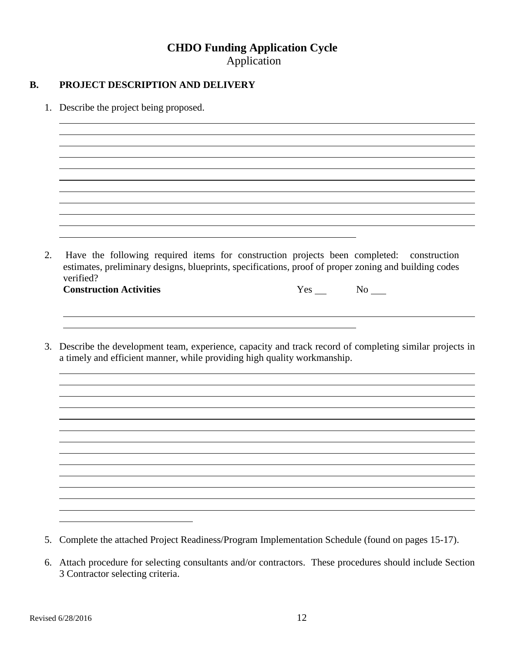## **CHDO Funding Application Cycle** Application

## **B. PROJECT DESCRIPTION AND DELIVERY**

1. Describe the project being proposed.

2. Have the following required items for construction projects been completed: construction estimates, preliminary designs, blueprints, specifications, proof of proper zoning and building codes verified? **Construction Activities** Yes No No No <u> 1980 - Johann Stoff, deutscher Stoffen und der Stoffen und der Stoffen und der Stoffen und der Stoffen und de</u> 3. Describe the development team, experience, capacity and track record of completing similar projects in a timely and efficient manner, while providing high quality workmanship.

<sup>5.</sup> Complete the attached Project Readiness/Program Implementation Schedule (found on pages 15-17).

<sup>6.</sup> Attach procedure for selecting consultants and/or contractors. These procedures should include Section 3 Contractor selecting criteria.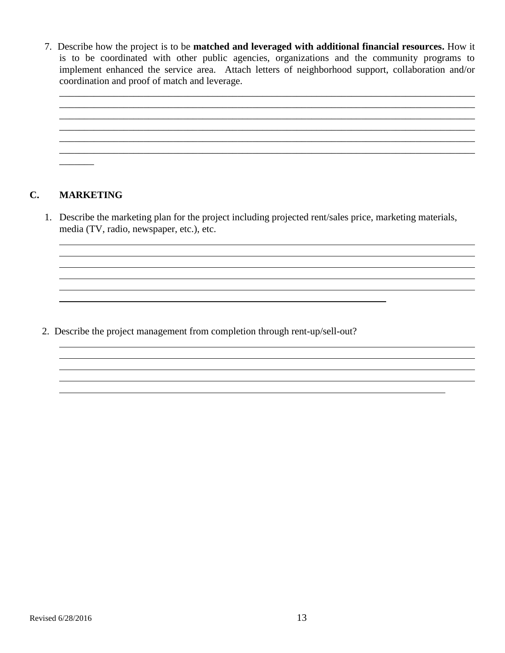7. Describe how the project is to be **matched and leveraged with additional financial resources.** How it is to be coordinated with other public agencies, organizations and the community programs to implement enhanced the service area. Attach letters of neighborhood support, collaboration and/or coordination and proof of match and leverage.



## **C. MARKETING**

1. Describe the marketing plan for the project including projected rent/sales price, marketing materials, media (TV, radio, newspaper, etc.), etc.

2. Describe the project management from completion through rent-up/sell-out?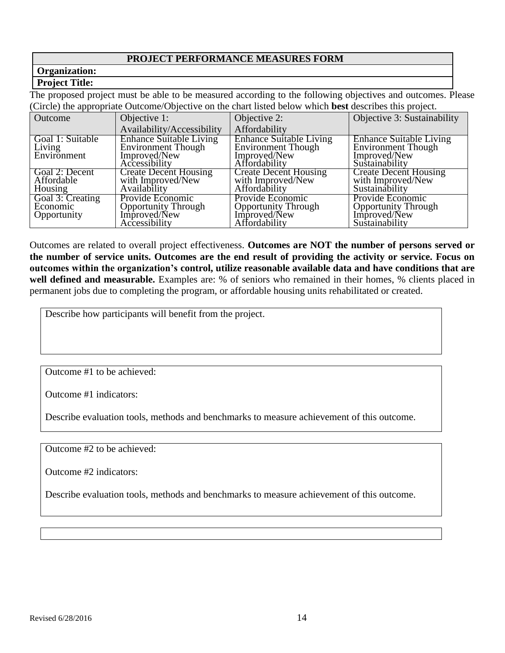## **PROJECT PERFORMANCE MEASURES FORM**

## **Organization:**

## **Project Title:**

The proposed project must be able to be measured according to the following objectives and outcomes. Please (Circle) the appropriate Outcome/Objective on the chart listed below which **best** describes this project.

| Outcome                                     | Objective 1:                                                                                 | Objective 2:                                                                                 | Objective 3: Sustainability                                                                   |
|---------------------------------------------|----------------------------------------------------------------------------------------------|----------------------------------------------------------------------------------------------|-----------------------------------------------------------------------------------------------|
|                                             | Availability/Accessibility                                                                   | Affordability                                                                                |                                                                                               |
| Goal 1: Suitable<br>Living<br>Environment   | <b>Enhance Suitable Living</b><br><b>Environment Though</b><br>Improved/New<br>Accessibility | <b>Enhance Suitable Living</b><br><b>Environment Though</b><br>Improved/New<br>Affordability | <b>Enhance Suitable Living</b><br><b>Environment Though</b><br>Improved/New<br>Sustainability |
| Goal 2: Decent<br>Affordable<br>Housing     | <b>Create Decent Housing</b><br>with Improved/New<br>Availability                            | <b>Create Decent Housing</b><br>with Improved/New<br>Affordability                           | <b>Create Decent Housing</b><br>with Improved/New<br>Sustainability                           |
| Goal 3: Creating<br>Economic<br>Opportunity | Provide Economic<br>Opportunity Through<br>Improved/New<br>Accessibility                     | Provide Economic<br>Opportunity Through<br>Improved/New<br>Affordability                     | Provide Economic<br>Opportunity Through<br>Improved/New<br>Sustainability                     |

Outcomes are related to overall project effectiveness. **Outcomes are NOT the number of persons served or the number of service units. Outcomes are the end result of providing the activity or service. Focus on outcomes within the organization's control, utilize reasonable available data and have conditions that are well defined and measurable.** Examples are: % of seniors who remained in their homes, % clients placed in permanent jobs due to completing the program, or affordable housing units rehabilitated or created.

Describe how participants will benefit from the project.

Outcome #1 to be achieved:

Outcome #1 indicators:

Describe evaluation tools, methods and benchmarks to measure achievement of this outcome.

Outcome #2 to be achieved:

Outcome #2 indicators:

Describe evaluation tools, methods and benchmarks to measure achievement of this outcome.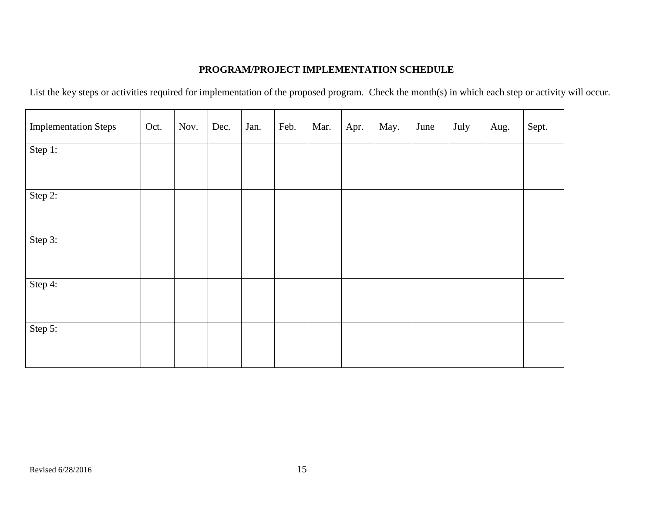## **PROGRAM/PROJECT IMPLEMENTATION SCHEDULE**

List the key steps or activities required for implementation of the proposed program. Check the month(s) in which each step or activity will occur.

| <b>Implementation Steps</b> | Oct. | Nov. | Dec. | Jan. | Feb. | Mar. | Apr. | May. | June | July | Aug. | Sept. |
|-----------------------------|------|------|------|------|------|------|------|------|------|------|------|-------|
| Step 1:                     |      |      |      |      |      |      |      |      |      |      |      |       |
| Step 2:                     |      |      |      |      |      |      |      |      |      |      |      |       |
| Step 3:                     |      |      |      |      |      |      |      |      |      |      |      |       |
| Step 4:                     |      |      |      |      |      |      |      |      |      |      |      |       |
| Step 5:                     |      |      |      |      |      |      |      |      |      |      |      |       |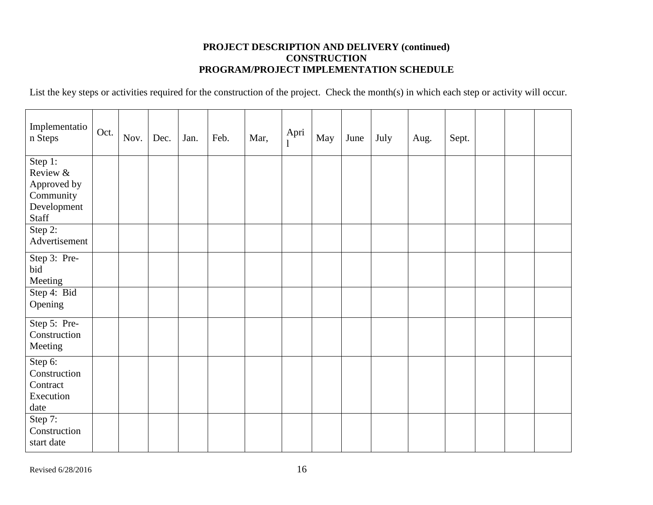## **PROJECT DESCRIPTION AND DELIVERY (continued) CONSTRUCTION PROGRAM/PROJECT IMPLEMENTATION SCHEDULE**

List the key steps or activities required for the construction of the project. Check the month(s) in which each step or activity will occur.

| Implementatio<br>n Steps | Oct. | Nov. | Dec. | Jan. | Feb. | Mar, | Apri<br>$\perp$ | May | June | July | Aug. | Sept. |  |  |
|--------------------------|------|------|------|------|------|------|-----------------|-----|------|------|------|-------|--|--|
| Step 1:<br>Review &      |      |      |      |      |      |      |                 |     |      |      |      |       |  |  |
| Approved by              |      |      |      |      |      |      |                 |     |      |      |      |       |  |  |
| Community                |      |      |      |      |      |      |                 |     |      |      |      |       |  |  |
| Development<br>Staff     |      |      |      |      |      |      |                 |     |      |      |      |       |  |  |
| Step $2$ :               |      |      |      |      |      |      |                 |     |      |      |      |       |  |  |
| Advertisement            |      |      |      |      |      |      |                 |     |      |      |      |       |  |  |
| Step 3: Pre-             |      |      |      |      |      |      |                 |     |      |      |      |       |  |  |
| bid                      |      |      |      |      |      |      |                 |     |      |      |      |       |  |  |
| Meeting                  |      |      |      |      |      |      |                 |     |      |      |      |       |  |  |
| Step 4: Bid<br>Opening   |      |      |      |      |      |      |                 |     |      |      |      |       |  |  |
|                          |      |      |      |      |      |      |                 |     |      |      |      |       |  |  |
| Step 5: Pre-             |      |      |      |      |      |      |                 |     |      |      |      |       |  |  |
| Construction             |      |      |      |      |      |      |                 |     |      |      |      |       |  |  |
| Meeting                  |      |      |      |      |      |      |                 |     |      |      |      |       |  |  |
| Step 6:                  |      |      |      |      |      |      |                 |     |      |      |      |       |  |  |
| Construction             |      |      |      |      |      |      |                 |     |      |      |      |       |  |  |
| Contract<br>Execution    |      |      |      |      |      |      |                 |     |      |      |      |       |  |  |
| date                     |      |      |      |      |      |      |                 |     |      |      |      |       |  |  |
| Step $\overline{7:}$     |      |      |      |      |      |      |                 |     |      |      |      |       |  |  |
| Construction             |      |      |      |      |      |      |                 |     |      |      |      |       |  |  |
| start date               |      |      |      |      |      |      |                 |     |      |      |      |       |  |  |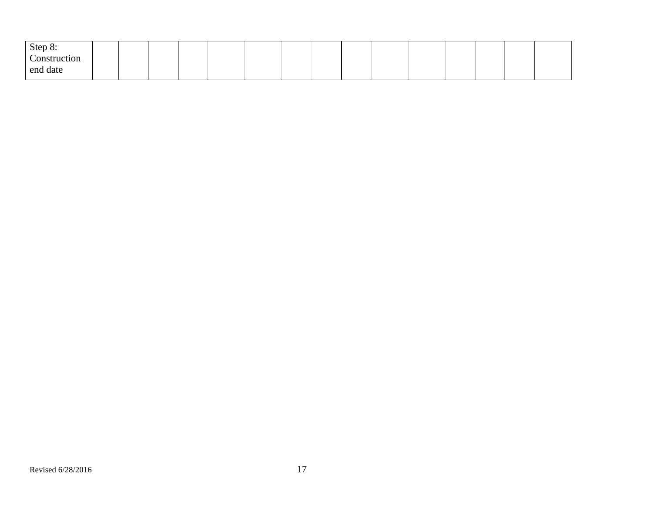| Step 8:                |  |  |  |  |  |  |  |  |
|------------------------|--|--|--|--|--|--|--|--|
| $\sim$<br>Construction |  |  |  |  |  |  |  |  |
| end date               |  |  |  |  |  |  |  |  |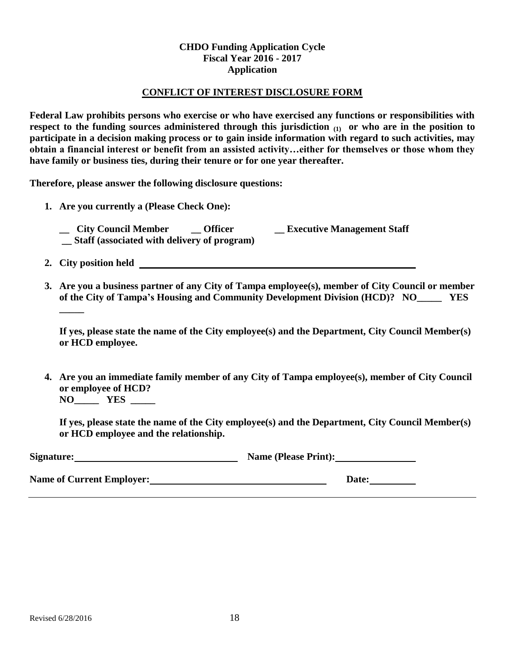## **CHDO Funding Application Cycle Fiscal Year 2016 - 2017 Application**

#### **CONFLICT OF INTEREST DISCLOSURE FORM**

**Federal Law prohibits persons who exercise or who have exercised any functions or responsibilities with respect to the funding sources administered through this jurisdiction (1) or who are in the position to participate in a decision making process or to gain inside information with regard to such activities, may obtain a financial interest or benefit from an assisted activity…either for themselves or those whom they have family or business ties, during their tenure or for one year thereafter.**

**Therefore, please answer the following disclosure questions:**

- **1. Are you currently a (Please Check One): \_\_ City Council Member \_\_ Officer \_\_ Executive Management Staff \_\_ Staff (associated with delivery of program)**
	- **2. City position held**

**\_\_\_\_\_**

**3. Are you a business partner of any City of Tampa employee(s), member of City Council or member of the City of Tampa's Housing and Community Development Division (HCD)? NO\_\_\_\_\_ YES** 

**If yes, please state the name of the City employee(s) and the Department, City Council Member(s) or HCD employee.**

**4. Are you an immediate family member of any City of Tampa employee(s), member of City Council or employee of HCD? NO\_\_\_\_\_ YES \_\_\_\_\_**

**If yes, please state the name of the City employee(s) and the Department, City Council Member(s) or HCD employee and the relationship.**

| Signature:                       | <b>Name (Please Print):</b> |
|----------------------------------|-----------------------------|
| <b>Name of Current Employer:</b> | <b>Date:</b>                |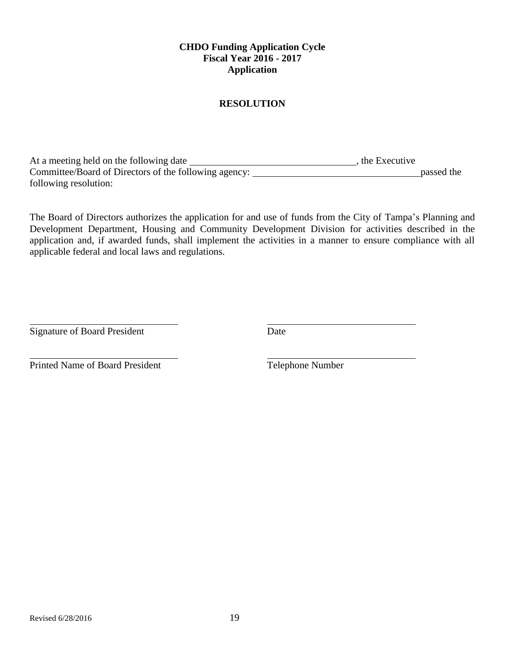## **CHDO Funding Application Cycle Fiscal Year 2016 - 2017 Application**

## **RESOLUTION**

At a meeting held on the following date \_\_\_\_\_\_\_\_\_\_\_\_\_\_\_\_\_\_\_\_\_\_\_\_\_\_\_\_\_\_\_\_\_\_\_, the Executive Committee/Board of Directors of the following agency: passed the following resolution:

The Board of Directors authorizes the application for and use of funds from the City of Tampa's Planning and Development Department, Housing and Community Development Division for activities described in the application and, if awarded funds, shall implement the activities in a manner to ensure compliance with all applicable federal and local laws and regulations.

Signature of Board President Date

Printed Name of Board President Telephone Number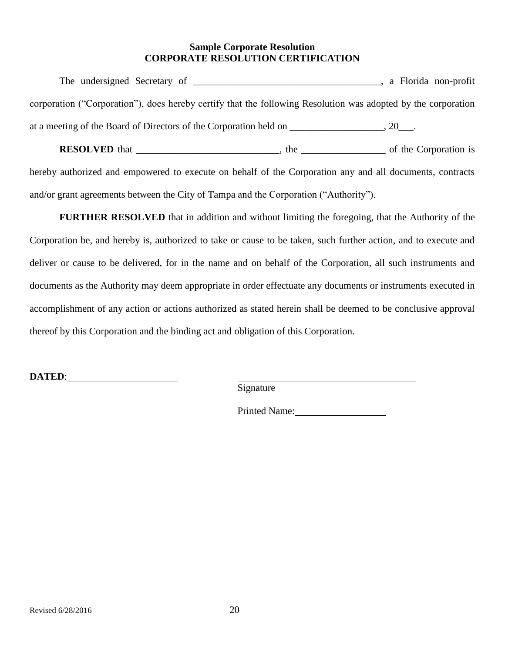### **Sample Corporate Resolution CORPORATE RESOLUTION CERTIFICATION**

|                                                                                                               | a Florida non-profit |  |
|---------------------------------------------------------------------------------------------------------------|----------------------|--|
| corporation ("Corporation"), does hereby certify that the following Resolution was adopted by the corporation |                      |  |
| at a meeting of the Board of Directors of the Corporation held on                                             | 20.                  |  |

**RESOLVED** that \_\_\_\_\_\_\_\_\_\_\_\_\_\_\_\_\_\_\_\_\_\_\_\_\_\_\_, the \_\_\_\_\_\_\_\_\_\_\_\_\_\_\_\_\_\_\_\_\_\_\_\_\_ of the Corporation is

hereby authorized and empowered to execute on behalf of the Corporation any and all documents, contracts and/or grant agreements between the City of Tampa and the Corporation ("Authority").

**FURTHER RESOLVED** that in addition and without limiting the foregoing, that the Authority of the Corporation be, and hereby is, authorized to take or cause to be taken, such further action, and to execute and deliver or cause to be delivered, for in the name and on behalf of the Corporation, all such instruments and documents as the Authority may deem appropriate in order effectuate any documents or instruments executed in accomplishment of any action or actions authorized as stated herein shall be deemed to be conclusive approval thereof by this Corporation and the binding act and obligation of this Corporation.

**DATED**:

Signature

Printed Name: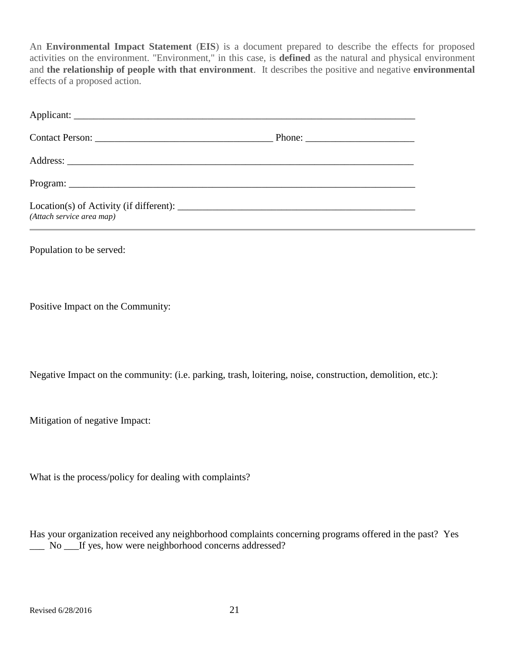An **Environmental Impact Statement** (**EIS**) is a document prepared to describe the effects for proposed activities on the environment. "Environment," in this case, is **defined** as the natural and physical environment and **the relationship of people with that environment**. It describes the positive and negative **environmental** effects of a proposed action.

| Applicant:                |  |
|---------------------------|--|
|                           |  |
|                           |  |
|                           |  |
| (Attach service area map) |  |

Population to be served:

Positive Impact on the Community:

Negative Impact on the community: (i.e. parking, trash, loitering, noise, construction, demolition, etc.):

Mitigation of negative Impact:

What is the process/policy for dealing with complaints?

Has your organization received any neighborhood complaints concerning programs offered in the past? Yes \_\_\_ No \_\_\_If yes, how were neighborhood concerns addressed?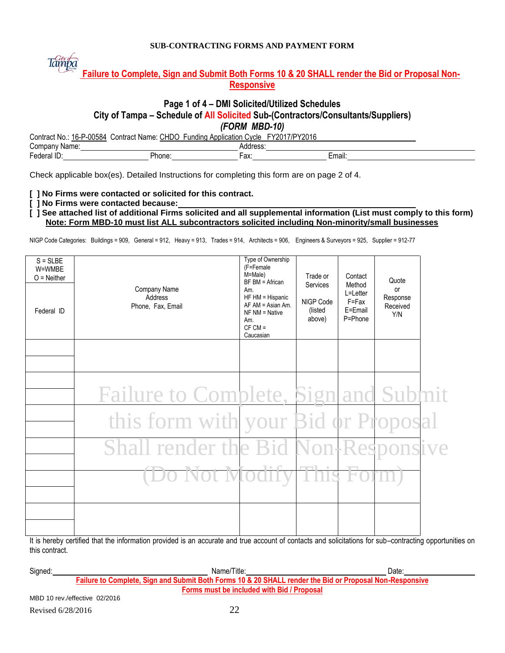#### **SUB-CONTRACTING FORMS AND PAYMENT FORM**



## **Failure to Complete, Sign and Submit Both Forms 10 & 20 SHALL render the Bid or Proposal Non-Responsive**

#### **Page 1 of 4 – DMI Solicited/Utilized Schedules**

#### **City of Tampa – Schedule of All Solicited Sub-(Contractors/Consultants/Suppliers)**

*(FORM MBD-10)*

Contract No.: 16-P-00584 Contract Name: CHDO Funding Application Cycle FY2017/PY2016

| `omر<br>ırne<br>ואנ          |                          |               |                   |
|------------------------------|--------------------------|---------------|-------------------|
| $\sim$<br>-edr<br>−⊷.<br>. . | - - -<br>$\sim$<br>,,,,, | $\sim$<br>a^. | $- - -$<br>Email: |

Check applicable box(es). Detailed Instructions for completing this form are on page 2 of 4.

**[ ] No Firms were contacted or solicited for this contract.**

**[ ] No Firms were contacted because:**

**[ ] See attached list of additional Firms solicited and all supplemental information (List must comply to this form) Note: Form MBD-10 must list ALL subcontractors solicited including Non-minority/small businesses**

NIGP Code Categories: Buildings = 909, General = 912, Heavy = 913, Trades = 914, Architects = 906, Engineers & Surveyors = 925, Supplier = 912-77

| $S = S LBE$<br>W=WMBE<br>$O =$ Neither<br>Federal ID | Company Name<br>Address<br>Phone, Fax, Email | Type of Ownership<br>(F=Female<br>M=Male)<br>BF BM = African<br>Am.<br>HF HM = Hispanic<br>$AF AM = Asian Am$ .<br>$NF NM = Native$<br>Am.<br>$CF CM =$<br>Caucasian | Trade or<br>Services<br>NIGP Code<br>(listed<br>above) | Contact<br>Method<br>L=Letter<br>$F = Fax$<br>E=Email<br>P=Phone | Quote<br>or<br>Response<br>Received<br>Y/N |  |
|------------------------------------------------------|----------------------------------------------|----------------------------------------------------------------------------------------------------------------------------------------------------------------------|--------------------------------------------------------|------------------------------------------------------------------|--------------------------------------------|--|
|                                                      |                                              |                                                                                                                                                                      |                                                        |                                                                  |                                            |  |
|                                                      | <b>Failure to Complete, Sign and Submit</b>  |                                                                                                                                                                      |                                                        |                                                                  |                                            |  |
|                                                      | this form with your Bid or Proposal          |                                                                                                                                                                      |                                                        |                                                                  |                                            |  |
|                                                      | <b>Shall render the Bid Non-Responsive</b>   |                                                                                                                                                                      |                                                        |                                                                  |                                            |  |
|                                                      | Do Not Modi                                  |                                                                                                                                                                      |                                                        |                                                                  |                                            |  |
|                                                      |                                              |                                                                                                                                                                      |                                                        |                                                                  |                                            |  |
|                                                      |                                              |                                                                                                                                                                      |                                                        |                                                                  |                                            |  |

It is hereby certified that the information provided is an accurate and true account of contacts and solicitations for sub–contracting opportunities on this contract.

| Signed: | Name/Title:                                                                                             | Date: |
|---------|---------------------------------------------------------------------------------------------------------|-------|
|         | Failure to Complete, Sign and Submit Both Forms 10 & 20 SHALL render the Bid or Proposal Non-Responsive |       |
|         | Forms must be included with Bid / Proposal                                                              |       |
|         | MBD 10 rev./effective 02/2016                                                                           |       |

Revised 6/28/2016 22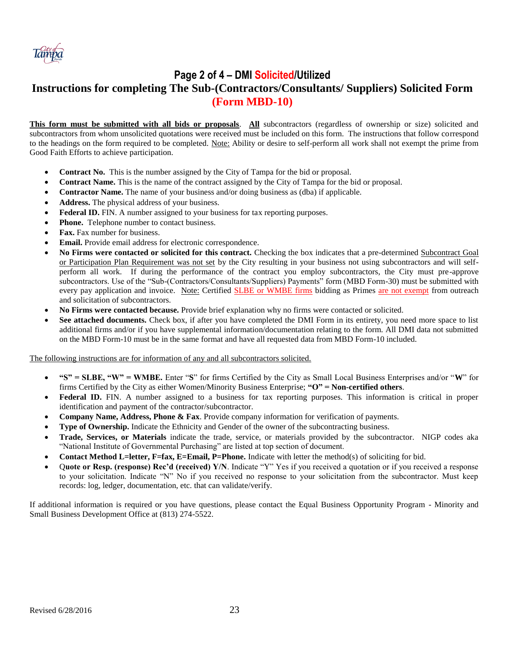

## **Page 2 of 4 – DMI Solicited/Utilized Instructions for completing The Sub-(Contractors/Consultants/ Suppliers) Solicited Form (Form MBD-10)**

**This form must be submitted with all bids or proposals**. **All** subcontractors (regardless of ownership or size) solicited and subcontractors from whom unsolicited quotations were received must be included on this form. The instructions that follow correspond to the headings on the form required to be completed. Note: Ability or desire to self-perform all work shall not exempt the prime from Good Faith Efforts to achieve participation.

- **Contract No.** This is the number assigned by the City of Tampa for the bid or proposal.
- **Contract Name.** This is the name of the contract assigned by the City of Tampa for the bid or proposal.
- **Contractor Name.** The name of your business and/or doing business as (dba) if applicable.
- **Address.** The physical address of your business.
- Federal ID. FIN. A number assigned to your business for tax reporting purposes.
- **Phone.** Telephone number to contact business.
- **Fax.** Fax number for business.
- **Email.** Provide email address for electronic correspondence.
- **No Firms were contacted or solicited for this contract.** Checking the box indicates that a pre-determined Subcontract Goal or Participation Plan Requirement was not set by the City resulting in your business not using subcontractors and will selfperform all work. If during the performance of the contract you employ subcontractors, the City must pre-approve subcontractors. Use of the "Sub-(Contractors/Consultants/Suppliers) Payments" form (MBD Form-30) must be submitted with every pay application and invoice. Note: Certified SLBE or WMBE firms bidding as Primes are not exempt from outreach and solicitation of subcontractors.
- **No Firms were contacted because.** Provide brief explanation why no firms were contacted or solicited.
- **See attached documents.** Check box, if after you have completed the DMI Form in its entirety, you need more space to list additional firms and/or if you have supplemental information/documentation relating to the form. All DMI data not submitted on the MBD Form-10 must be in the same format and have all requested data from MBD Form-10 included.

The following instructions are for information of any and all subcontractors solicited.

- **"S" = SLBE, "W" = WMBE.** Enter "**S**" for firms Certified by the City as Small Local Business Enterprises and/or "**W**" for firms Certified by the City as either Women/Minority Business Enterprise; **"O" = Non-certified others**.
- **Federal ID.** FIN. A number assigned to a business for tax reporting purposes. This information is critical in proper identification and payment of the contractor/subcontractor.
- **Company Name, Address, Phone & Fax**. Provide company information for verification of payments.
- **Type of Ownership.** Indicate the Ethnicity and Gender of the owner of the subcontracting business.
- **Trade, Services, or Materials** indicate the trade, service, or materials provided by the subcontractor. NIGP codes aka "National Institute of Governmental Purchasing" are listed at top section of document.
- **Contact Method L=letter, F=fax, E=Email, P=Phone.** Indicate with letter the method(s) of soliciting for bid.
- Q**uote or Resp. (response) Rec'd (received) Y/N**. Indicate "Y" Yes if you received a quotation or if you received a response to your solicitation. Indicate "N" No if you received no response to your solicitation from the subcontractor. Must keep records: log, ledger, documentation, etc. that can validate/verify.

If additional information is required or you have questions, please contact the Equal Business Opportunity Program - Minority and Small Business Development Office at (813) 274-5522.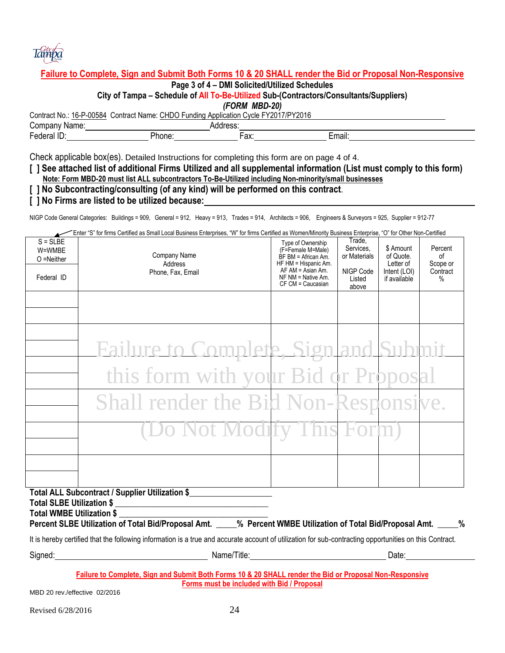

## **Failure to Complete, Sign and Submit Both Forms 10 & 20 SHALL render the Bid or Proposal Non-Responsive**

**Page 3 of 4 – DMI Solicited/Utilized Schedules**

**City of Tampa – Schedule of All To-Be-Utilized Sub-(Contractors/Consultants/Suppliers)** 

*(FORM MBD-20)*

Contract No.: 16-P-00584 Contract Name: CHDO Funding Application Cycle FY2017/PY2016

| ⌒<br>omrٽ<br>וואטני                  |              |                                     |  |
|--------------------------------------|--------------|-------------------------------------|--|
| $\overline{\phantom{0}}$<br>.<br>. . | าทe.<br>'no. | -<br>∴mail:<br>$\sim$<br>--<br>-ал. |  |

Check applicable box(es). Detailed Instructions for completing this form are on page 4 of 4.

- **[ ] See attached list of additional Firms Utilized and all supplemental information (List must comply to this form)**
- **Note: Form MBD-20 must list ALL subcontractors To-Be-Utilized including Non-minority/small businesses**
- **[ ] No Subcontracting/consulting (of any kind) will be performed on this contract**.
- **[ ] No Firms are listed to be utilized because:**

NIGP Code General Categories: Buildings = 909, General = 912, Heavy = 913, Trades = 914, Architects = 906, Engineers & Surveyors = 925, Supplier = 912-77

Enter "S" for firms Certified as Small Local Business Enterprises, "W" for firms Certified as Women/Minority Business Enterprise, "O" for Other Non-Certified

| $S = S L B E$<br>W=WMBE<br>$O =$ Neither<br>Federal ID | Company Name<br>Address<br>Phone, Fax, Email                                                                                                                                                                                   | Type of Ownership<br>(F=Female M=Male)<br>$BF BM = African Am$ .<br>HF HM = Hispanic Am.<br>$AF AM = Asian Am.$<br>$NF NM = Native Am$ .<br>CF CM = Caucasian | Trade,<br>Services.<br>or Materials<br>NIGP Code<br>Listed<br>above | \$ Amount<br>of Quote.<br>Letter of<br>Intent (LOI)<br>if available | Percent<br>of<br>Scope or<br>Contract<br>$\%$ |
|--------------------------------------------------------|--------------------------------------------------------------------------------------------------------------------------------------------------------------------------------------------------------------------------------|---------------------------------------------------------------------------------------------------------------------------------------------------------------|---------------------------------------------------------------------|---------------------------------------------------------------------|-----------------------------------------------|
|                                                        |                                                                                                                                                                                                                                |                                                                                                                                                               |                                                                     |                                                                     |                                               |
|                                                        | <b>Failure to Complete, Sign and Submit</b>                                                                                                                                                                                    |                                                                                                                                                               |                                                                     |                                                                     |                                               |
|                                                        | this form with your Bid or Proposal                                                                                                                                                                                            |                                                                                                                                                               |                                                                     |                                                                     |                                               |
|                                                        | Shall render the Bid Non-Responsive.                                                                                                                                                                                           |                                                                                                                                                               |                                                                     |                                                                     |                                               |
|                                                        | (Do Not Modify This Form)                                                                                                                                                                                                      |                                                                                                                                                               |                                                                     |                                                                     |                                               |
|                                                        |                                                                                                                                                                                                                                |                                                                                                                                                               |                                                                     |                                                                     |                                               |
| <b>Total WMBE Utilization \$</b>                       | Total ALL Subcontract / Supplier Utilization \$<br>Percent SLBE Utilization of Total Bid/Proposal Amt. ____% Percent WMBE Utilization of Total Bid/Proposal Amt. ____%                                                         |                                                                                                                                                               |                                                                     |                                                                     |                                               |
|                                                        | It is hereby certified that the following information is a true and accurate account of utilization for sub-contracting opportunities on this Contract.                                                                        |                                                                                                                                                               |                                                                     |                                                                     |                                               |
|                                                        | Signed: Date: Date: Date: Date: Date: Date: Date: Date: Date: Date: Date: Date: Date: Date: Date: Date: Date: Date: Date: Date: Date: Date: Date: Date: Date: Date: Date: Date: Date: Date: Date: Date: Date: Date: Date: Date |                                                                                                                                                               |                                                                     |                                                                     |                                               |
| MDD, 20, row left, 20, 02/204C                         | Failure to Complete, Sign and Submit Both Forms 10 & 20 SHALL render the Bid or Proposal Non-Responsive<br>Forms must be included with Bid / Proposal                                                                          |                                                                                                                                                               |                                                                     |                                                                     |                                               |

MBD 20 rev./effective 02/2016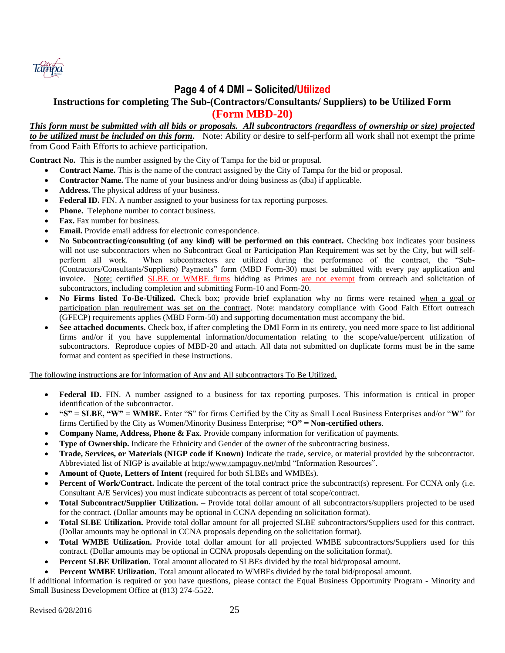

## **Page 4 of 4 DMI – Solicited/Utilized**

## **Instructions for completing The Sub-(Contractors/Consultants/ Suppliers) to be Utilized Form (Form MBD-20)**

#### *This form must be submitted with all bids or proposals. All subcontractors (regardless of ownership or size) projected to be utilized must be included on this form.* Note: Ability or desire to self-perform all work shall not exempt the prime from Good Faith Efforts to achieve participation.

**Contract No.** This is the number assigned by the City of Tampa for the bid or proposal.

- **Contract Name.** This is the name of the contract assigned by the City of Tampa for the bid or proposal.
- **Contractor Name.** The name of your business and/or doing business as (dba) if applicable.
- **Address.** The physical address of your business.
- Federal ID. FIN. A number assigned to your business for tax reporting purposes.
- **Phone.** Telephone number to contact business.
- **Fax.** Fax number for business.
- **Email.** Provide email address for electronic correspondence.
- **No Subcontracting/consulting (of any kind) will be performed on this contract.** Checking box indicates your business will not use subcontractors when no Subcontract Goal or Participation Plan Requirement was set by the City, but will selfperform all work. When subcontractors are utilized during the performance of the contract, the "Sub- (Contractors/Consultants/Suppliers) Payments" form (MBD Form-30) must be submitted with every pay application and invoice. Note: certified SLBE or WMBE firms bidding as Primes are not exempt from outreach and solicitation of subcontractors, including completion and submitting Form-10 and Form-20.
- **No Firms listed To-Be-Utilized.** Check box; provide brief explanation why no firms were retained when a goal or participation plan requirement was set on the contract. Note: mandatory compliance with Good Faith Effort outreach (GFECP) requirements applies (MBD Form-50) and supporting documentation must accompany the bid.
- See attached documents. Check box, if after completing the DMI Form in its entirety, you need more space to list additional firms and/or if you have supplemental information/documentation relating to the scope/value/percent utilization of subcontractors. Reproduce copies of MBD-20 and attach. All data not submitted on duplicate forms must be in the same format and content as specified in these instructions.

#### The following instructions are for information of Any and All subcontractors To Be Utilized.

- Federal ID. FIN. A number assigned to a business for tax reporting purposes. This information is critical in proper identification of the subcontractor.
- **"S" = SLBE, "W" = WMBE.** Enter "**S**" for firms Certified by the City as Small Local Business Enterprises and/or "**W**" for firms Certified by the City as Women/Minority Business Enterprise; **"O" = Non-certified others**.
- **Company Name, Address, Phone & Fax**. Provide company information for verification of payments.
- **Type of Ownership.** Indicate the Ethnicity and Gender of the owner of the subcontracting business.
- **Trade, Services, or Materials (NIGP code if Known)** Indicate the trade, service, or material provided by the subcontractor. Abbreviated list of NIGP is available at http:/www.tampagov.net/mbd "Information Resources".
- **Amount of Quote, Letters of Intent** (required for both SLBEs and WMBEs).
- **Percent of Work/Contract.** Indicate the percent of the total contract price the subcontract(s) represent. For CCNA only (i.e. Consultant A/E Services) you must indicate subcontracts as percent of total scope/contract.
- **Total Subcontract/Supplier Utilization.** Provide total dollar amount of all subcontractors/suppliers projected to be used for the contract. (Dollar amounts may be optional in CCNA depending on solicitation format).
- **Total SLBE Utilization.** Provide total dollar amount for all projected SLBE subcontractors/Suppliers used for this contract. (Dollar amounts may be optional in CCNA proposals depending on the solicitation format).
- **Total WMBE Utilization.** Provide total dollar amount for all projected WMBE subcontractors/Suppliers used for this contract. (Dollar amounts may be optional in CCNA proposals depending on the solicitation format).
- **Percent SLBE Utilization.** Total amount allocated to SLBEs divided by the total bid/proposal amount.
- **Percent WMBE Utilization.** Total amount allocated to WMBEs divided by the total bid/proposal amount.

If additional information is required or you have questions, please contact the Equal Business Opportunity Program - Minority and Small Business Development Office at (813) 274-5522.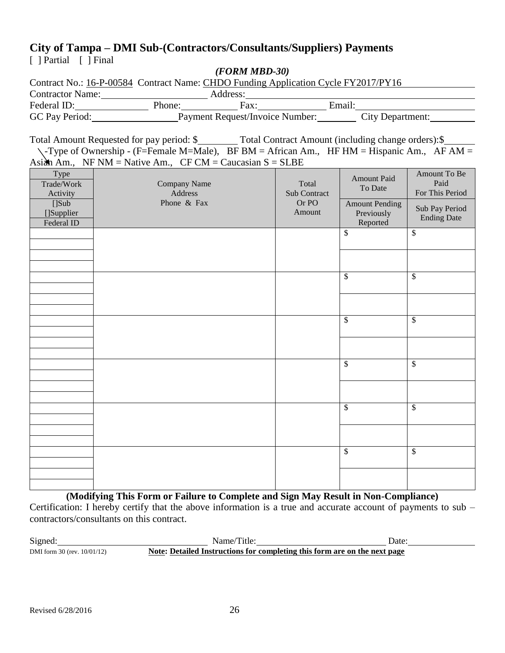## **City of Tampa – DMI Sub-(Contractors/Consultants/Suppliers) Payments**

 $\lceil$  ] Partial  $\lceil$  ] Final

## *(FORM MBD-30)*

| Contract No.: 16-P-00584 Contract Name: CHDO Funding Application Cycle FY2017/PY16 |        |                                 |        |                         |
|------------------------------------------------------------------------------------|--------|---------------------------------|--------|-------------------------|
| <b>Contractor Name:</b>                                                            |        | Address:                        |        |                         |
| Federal ID:                                                                        | Phone: | Fax:                            | Email: |                         |
| GC Pay Period:                                                                     |        | Payment Request/Invoice Number: |        | <b>City Department:</b> |

Total Amount Requested for pay period: \$\_\_\_\_\_\_\_\_ Total Contract Amount (including change orders): \$\_  $\setminus$ -Type of Ownership - (F=Female M=Male), BF BM = African Am., HF HM = Hispanic Am., AF AM = Asian Am., NF NM = Native Am.,  $CF CM =$  Caucasian  $S = SLBE$ 

| $\frac{1}{2}$                      | $\ldots$<br>$\sim$ $\sim$ $\sim$ $\sim$<br>$\sim$ $\sim$ $\sim$ $\sim$ | ~~~~                  |                                                 |                                         |
|------------------------------------|------------------------------------------------------------------------|-----------------------|-------------------------------------------------|-----------------------------------------|
| Type<br>Trade/Work<br>Activity     | Company Name<br>Address                                                | Total<br>Sub Contract | <b>Amount Paid</b><br>To Date                   | Amount To Be<br>Paid<br>For This Period |
| [] Sub<br>[]Supplier<br>Federal ID | Phone & Fax                                                            | Or PO<br>Amount       | <b>Amount Pending</b><br>Previously<br>Reported | Sub Pay Period<br><b>Ending Date</b>    |
|                                    |                                                                        |                       | $\$$                                            | $\boldsymbol{\mathsf{S}}$               |
|                                    |                                                                        |                       |                                                 |                                         |
|                                    |                                                                        |                       | $\overline{\$}$                                 | $\overline{\mathcal{S}}$                |
|                                    |                                                                        |                       |                                                 |                                         |
|                                    |                                                                        |                       | $\overline{\mathcal{S}}$                        | $\overline{\mathcal{S}}$                |
|                                    |                                                                        |                       |                                                 |                                         |
|                                    |                                                                        |                       | $\overline{\mathcal{S}}$                        | $\overline{\mathcal{S}}$                |
|                                    |                                                                        |                       |                                                 |                                         |
|                                    |                                                                        |                       | $\overline{\$}$                                 | $\overline{\mathcal{S}}$                |
|                                    |                                                                        |                       |                                                 |                                         |
|                                    |                                                                        |                       | $\overline{\mathcal{S}}$                        | $\$$                                    |
|                                    |                                                                        |                       |                                                 |                                         |

**(Modifying This Form or Failure to Complete and Sign May Result in Non-Compliance)** Certification: I hereby certify that the above information is a true and accurate account of payments to sub – contractors/consultants on this contract.

| Signed:                          | Name/Title:                                                               | Jate |
|----------------------------------|---------------------------------------------------------------------------|------|
| DMI form $30$ (rev. $10/01/12$ ) | Note: Detailed Instructions for completing this form are on the next page |      |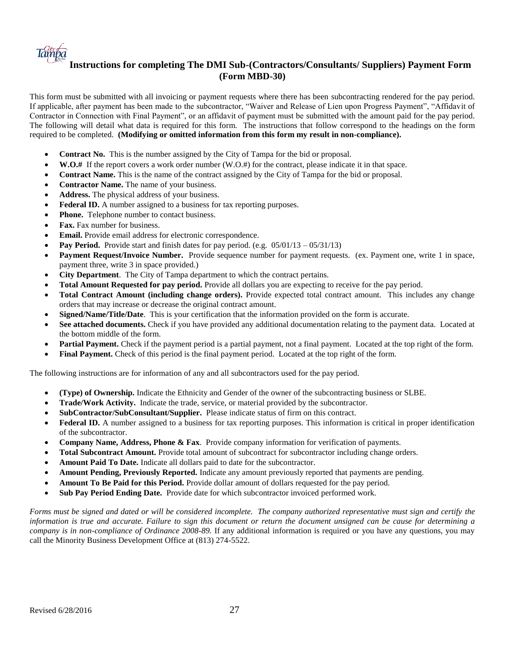

## **Instructions for completing The DMI Sub-(Contractors/Consultants/ Suppliers) Payment Form (Form MBD-30)**

This form must be submitted with all invoicing or payment requests where there has been subcontracting rendered for the pay period. If applicable, after payment has been made to the subcontractor, "Waiver and Release of Lien upon Progress Payment", "Affidavit of Contractor in Connection with Final Payment", or an affidavit of payment must be submitted with the amount paid for the pay period. The following will detail what data is required for this form. The instructions that follow correspond to the headings on the form required to be completed. **(Modifying or omitted information from this form my result in non-compliance).**

- **Contract No.** This is the number assigned by the City of Tampa for the bid or proposal.
- **W.O.#** If the report covers a work order number (W.O.#) for the contract, please indicate it in that space.
- **Contract Name.** This is the name of the contract assigned by the City of Tampa for the bid or proposal.
- **Contractor Name.** The name of your business.
- **Address.** The physical address of your business.
- **Federal ID.** A number assigned to a business for tax reporting purposes.
- **Phone.** Telephone number to contact business.
- **Fax.** Fax number for business.
- **Email.** Provide email address for electronic correspondence.
- Pay Period. Provide start and finish dates for pay period. (e.g.  $05/01/13 05/31/13$ )
- **Payment Request/Invoice Number.** Provide sequence number for payment requests. (ex. Payment one, write 1 in space, payment three, write 3 in space provided.)
- **City Department**. The City of Tampa department to which the contract pertains.
- **Total Amount Requested for pay period.** Provide all dollars you are expecting to receive for the pay period.
- **Total Contract Amount (including change orders).** Provide expected total contract amount. This includes any change orders that may increase or decrease the original contract amount.
- **Signed/Name/Title/Date**. This is your certification that the information provided on the form is accurate.
- **See attached documents.** Check if you have provided any additional documentation relating to the payment data. Located at the bottom middle of the form.
- **Partial Payment.** Check if the payment period is a partial payment, not a final payment. Located at the top right of the form.
- **Final Payment.** Check of this period is the final payment period. Located at the top right of the form.

The following instructions are for information of any and all subcontractors used for the pay period.

- **(Type) of Ownership.** Indicate the Ethnicity and Gender of the owner of the subcontracting business or SLBE.
- **Trade/Work Activity.** Indicate the trade, service, or material provided by the subcontractor.
- **SubContractor/SubConsultant/Supplier.** Please indicate status of firm on this contract.
- **Federal ID.** A number assigned to a business for tax reporting purposes. This information is critical in proper identification of the subcontractor.
- **Company Name, Address, Phone & Fax**. Provide company information for verification of payments.
- **Total Subcontract Amount.** Provide total amount of subcontract for subcontractor including change orders.
- **Amount Paid To Date.** Indicate all dollars paid to date for the subcontractor.
- **Amount Pending, Previously Reported.** Indicate any amount previously reported that payments are pending.
- **Amount To Be Paid for this Period.** Provide dollar amount of dollars requested for the pay period.
- **Sub Pay Period Ending Date.** Provide date for which subcontractor invoiced performed work.

*Forms must be signed and dated or will be considered incomplete. The company authorized representative must sign and certify the information is true and accurate. Failure to sign this document or return the document unsigned can be cause for determining a company is in non-compliance of Ordinance 2008-89.* If any additional information is required or you have any questions, you may call the Minority Business Development Office at (813) 274-5522.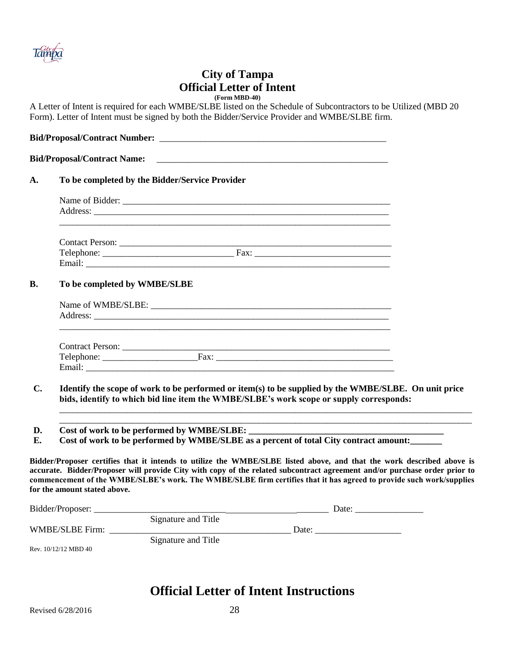

## **City of Tampa Official Letter of Intent (Form MBD-40)**

A Letter of Intent is required for each WMBE/SLBE listed on the Schedule of Subcontractors to be Utilized (MBD 20 Form). Letter of Intent must be signed by both the Bidder/Service Provider and WMBE/SLBE firm.

| To be completed by the Bidder/Service Provider |
|------------------------------------------------|
|                                                |
|                                                |
|                                                |
|                                                |
|                                                |
| To be completed by WMBE/SLBE                   |
|                                                |
|                                                |
|                                                |
|                                                |

**D.** Cost of work to be performed by WMBE/SLBE:

**E.** Cost of work to be performed by WMBE/SLBE as a percent of total City contract amount:

**Bidder/Proposer certifies that it intends to utilize the WMBE/SLBE listed above, and that the work described above is accurate. Bidder/Proposer will provide City with copy of the related subcontract agreement and/or purchase order prior to commencement of the WMBE/SLBE's work. The WMBE/SLBE firm certifies that it has agreed to provide such work/supplies for the amount stated above.**

| Bidder/Proposer:     |                     | Date: |
|----------------------|---------------------|-------|
|                      | Signature and Title |       |
| WMBE/SLBE Firm:      |                     | Date: |
|                      | Signature and Title |       |
| Rev. 10/12/12 MBD 40 |                     |       |

## **Official Letter of Intent Instructions**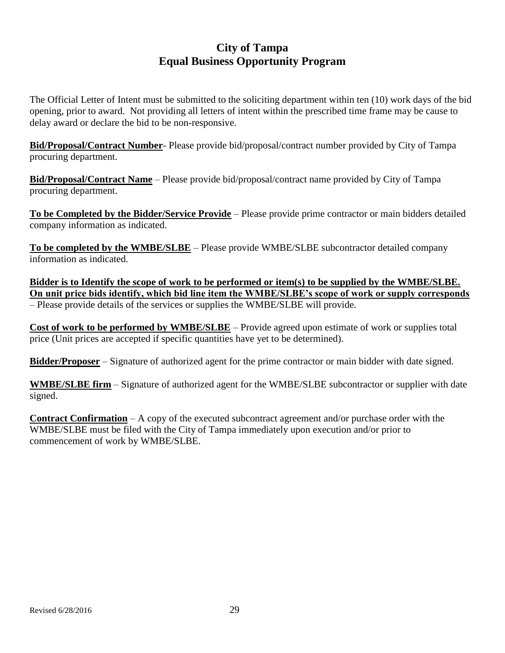## **City of Tampa Equal Business Opportunity Program**

The Official Letter of Intent must be submitted to the soliciting department within ten (10) work days of the bid opening, prior to award. Not providing all letters of intent within the prescribed time frame may be cause to delay award or declare the bid to be non-responsive.

**Bid/Proposal/Contract Number**- Please provide bid/proposal/contract number provided by City of Tampa procuring department.

**Bid/Proposal/Contract Name** – Please provide bid/proposal/contract name provided by City of Tampa procuring department.

**To be Completed by the Bidder/Service Provide** – Please provide prime contractor or main bidders detailed company information as indicated.

**To be completed by the WMBE/SLBE** – Please provide WMBE/SLBE subcontractor detailed company information as indicated.

**Bidder is to Identify the scope of work to be performed or item(s) to be supplied by the WMBE/SLBE. On unit price bids identify, which bid line item the WMBE/SLBE's scope of work or supply corresponds** – Please provide details of the services or supplies the WMBE/SLBE will provide.

**Cost of work to be performed by WMBE/SLBE** – Provide agreed upon estimate of work or supplies total price (Unit prices are accepted if specific quantities have yet to be determined).

**Bidder/Proposer** – Signature of authorized agent for the prime contractor or main bidder with date signed.

**WMBE/SLBE firm** – Signature of authorized agent for the WMBE/SLBE subcontractor or supplier with date signed.

**Contract Confirmation** – A copy of the executed subcontract agreement and/or purchase order with the WMBE/SLBE must be filed with the City of Tampa immediately upon execution and/or prior to commencement of work by WMBE/SLBE.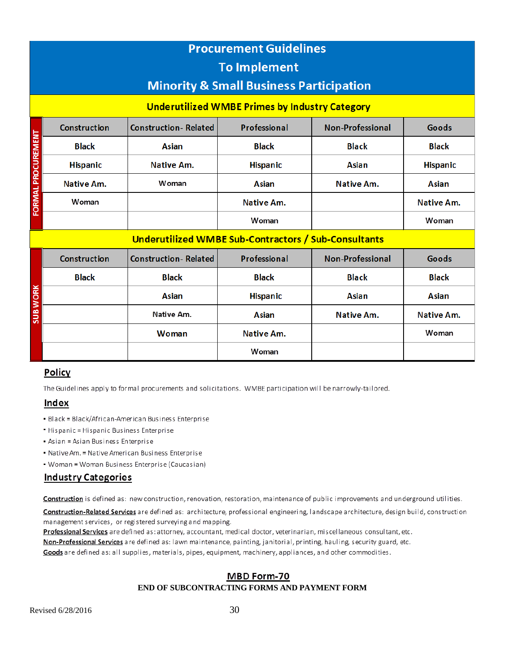|                           | <b>Procurement Guidelines</b><br><b>To Implement</b>                                                        |                             |                   |                         |                   |  |  |  |  |
|---------------------------|-------------------------------------------------------------------------------------------------------------|-----------------------------|-------------------|-------------------------|-------------------|--|--|--|--|
|                           | <b>Minority &amp; Small Business Participation</b><br><b>Underutilized WMBE Primes by Industry Category</b> |                             |                   |                         |                   |  |  |  |  |
|                           | <b>Construction-Related</b><br>Professional<br><b>Non-Professional</b><br>Goods<br><b>Construction</b>      |                             |                   |                         |                   |  |  |  |  |
|                           | <b>Black</b>                                                                                                | <b>Asian</b>                | <b>Black</b>      | <b>Black</b>            | <b>Black</b>      |  |  |  |  |
| <b>FORMAL PROCUREMENT</b> | <b>Hispanic</b>                                                                                             | <b>Native Am.</b>           | <b>Hispanic</b>   | Asian                   | <b>Hispanic</b>   |  |  |  |  |
|                           | <b>Native Am.</b>                                                                                           | Woman                       | <b>Asian</b>      | <b>Native Am.</b>       | <b>Asian</b>      |  |  |  |  |
|                           | Woman                                                                                                       |                             | <b>Native Am.</b> |                         | <b>Native Am.</b> |  |  |  |  |
|                           |                                                                                                             |                             | Woman             |                         | Woman             |  |  |  |  |
|                           | Underutilized WMBE Sub-Contractors / Sub-Consultants                                                        |                             |                   |                         |                   |  |  |  |  |
|                           | <b>Construction</b>                                                                                         | <b>Construction-Related</b> | Professional      | <b>Non-Professional</b> | Goods             |  |  |  |  |
|                           | <b>Black</b>                                                                                                | <b>Black</b>                | <b>Black</b>      | <b>Black</b>            | <b>Black</b>      |  |  |  |  |
| <b>SUB WORK</b>           |                                                                                                             | <b>Asian</b>                | <b>Hispanic</b>   | Asian                   | Asian             |  |  |  |  |
|                           |                                                                                                             | Native Am.                  | <b>Asian</b>      | <b>Native Am.</b>       | <b>Native Am.</b> |  |  |  |  |
|                           |                                                                                                             | Woman                       | <b>Native Am.</b> |                         | Woman             |  |  |  |  |
|                           |                                                                                                             |                             | Woman             |                         |                   |  |  |  |  |

## Policy

The Guidelines apply to formal procurements and solicitations. WMBE participation will be narrowly-tailored.

## **Index**

- Black = Black/African-American Business Enterprise
- " Hispanic = Hispanic Business Enterprise
- Asian = Asian Business Enterprise
- Native Am. = Native American Business Enterprise
- Woman = Woman Business Enterprise (Caucasian)

## **Industry Categories**

Construction is defined as: new construction, renovation, restoration, maintenance of public improvements and underground utilities.

Construction-Related Services are defined as: architecture, professional engineering, landscape architecture, design build, construction management services, or registered surveying and mapping.

Professional Services are defined as: attorney, accountant, medical doctor, veterinarian, miscellaneous consultant, etc.

Non-Professional Services are defined as: lawn maintenance, painting, janitorial, printing, hauling, security guard, etc.

Goods are defined as: all supplies, materials, pipes, equipment, machinery, appliances, and other commodities.

### MBD Form-70

#### **END OF SUBCONTRACTING FORMS AND PAYMENT FORM**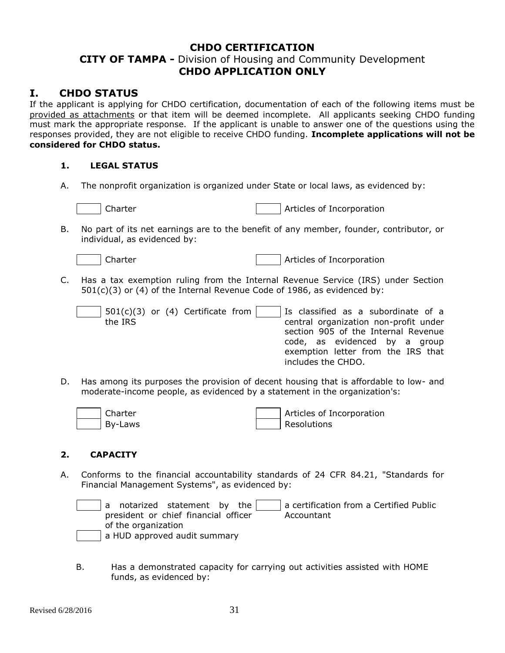## **CHDO CERTIFICATION**

## **CITY OF TAMPA -** Division of Housing and Community Development **CHDO APPLICATION ONLY**

## **I. CHDO STATUS**

If the applicant is applying for CHDO certification, documentation of each of the following items must be provided as attachments or that item will be deemed incomplete. All applicants seeking CHDO funding must mark the appropriate response. If the applicant is unable to answer one of the questions using the responses provided, they are not eligible to receive CHDO funding. **Incomplete applications will not be considered for CHDO status.**

#### **1. LEGAL STATUS**

A. The nonprofit organization is organized under State or local laws, as evidenced by:

| Charter<br>Articles of Incorporation |
|--------------------------------------|
|--------------------------------------|

B. No part of its net earnings are to the benefit of any member, founder, contributor, or individual, as evidenced by:

|  | iar<br>ı |
|--|----------|
|--|----------|

er and articles of Incorporation

C. Has a tax exemption ruling from the Internal Revenue Service (IRS) under Section 501(c)(3) or (4) of the Internal Revenue Code of 1986, as evidenced by:

| the IRS | $501(c)(3)$ or (4) Certificate from |  | Is classified as a subordinate of a<br>central organization non-profit under<br>section 905 of the Internal Revenue<br>code, as evidenced by a group<br>exemption letter from the IRS that |
|---------|-------------------------------------|--|--------------------------------------------------------------------------------------------------------------------------------------------------------------------------------------------|
|         |                                     |  | includes the CHDO.                                                                                                                                                                         |

D. Has among its purposes the provision of decent housing that is affordable to low- and moderate-income people, as evidenced by a statement in the organization's:

| Charter | Articles of Incorporation |
|---------|---------------------------|
| By-Laws | Resolutions               |

### **2. CAPACITY**

A. Conforms to the financial accountability standards of 24 CFR 84.21, "Standards for Financial Management Systems", as evidenced by:

a notarized statement by the president or chief financial officer of the organization a certification from a Certified Public Accountant a HUD approved audit summary

B. Has a demonstrated capacity for carrying out activities assisted with HOME funds, as evidenced by: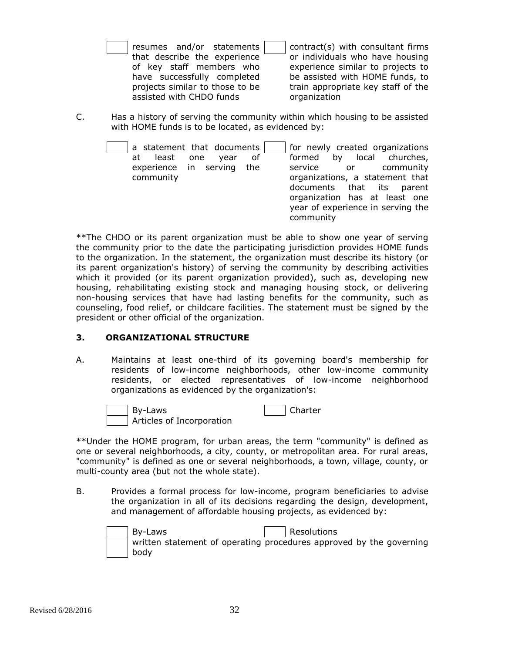| resumes and/or statements       |  |  |
|---------------------------------|--|--|
| that describe the experience    |  |  |
| of key staff members who        |  |  |
| have successfully completed     |  |  |
| projects similar to those to be |  |  |
| assisted with CHDO funds        |  |  |

contract(s) with consultant firms or individuals who have housing experience similar to projects to be assisted with HOME funds, to train appropriate key staff of the organization

C. Has a history of serving the community within which housing to be assisted with HOME funds is to be located, as evidenced by:

| a statement that documents        | for newly created organizations   |
|-----------------------------------|-----------------------------------|
| least<br>.of<br>one<br>vear<br>at | formed by local churches,         |
| experience in serving the         | community<br>service<br>or        |
| community                         | organizations, a statement that   |
|                                   | documents that its parent         |
|                                   | organization has at least one     |
|                                   | year of experience in serving the |
|                                   | community                         |

\*\*The CHDO or its parent organization must be able to show one year of serving the community prior to the date the participating jurisdiction provides HOME funds to the organization. In the statement, the organization must describe its history (or its parent organization's history) of serving the community by describing activities which it provided (or its parent organization provided), such as, developing new housing, rehabilitating existing stock and managing housing stock, or delivering non-housing services that have had lasting benefits for the community, such as counseling, food relief, or childcare facilities. The statement must be signed by the president or other official of the organization.

### **3. ORGANIZATIONAL STRUCTURE**

A. Maintains at least one-third of its governing board's membership for residents of low-income neighborhoods, other low-income community residents, or elected representatives of low-income neighborhood organizations as evidenced by the organization's:



\*\*Under the HOME program, for urban areas, the term "community" is defined as one or several neighborhoods, a city, county, or metropolitan area. For rural areas, "community" is defined as one or several neighborhoods, a town, village, county, or multi-county area (but not the whole state).

B. Provides a formal process for low-income, program beneficiaries to advise the organization in all of its decisions regarding the design, development, and management of affordable housing projects, as evidenced by:

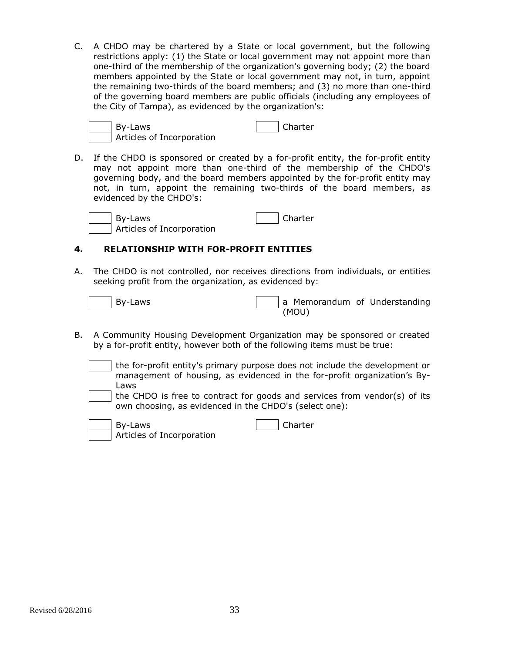C. A CHDO may be chartered by a State or local government, but the following restrictions apply: (1) the State or local government may not appoint more than one-third of the membership of the organization's governing body; (2) the board members appointed by the State or local government may not, in turn, appoint the remaining two-thirds of the board members; and (3) no more than one-third of the governing board members are public officials (including any employees of the City of Tampa), as evidenced by the organization's:

| By-Laws                   | Charter |
|---------------------------|---------|
| Articles of Incorporation |         |

D. If the CHDO is sponsored or created by a for-profit entity, the for-profit entity may not appoint more than one-third of the membership of the CHDO's governing body, and the board members appointed by the for-profit entity may not, in turn, appoint the remaining two-thirds of the board members, as evidenced by the CHDO's:

| By-Laws                   | Charter |
|---------------------------|---------|
| Articles of Incorporation |         |

## **4. RELATIONSHIP WITH FOR-PROFIT ENTITIES**

A. The CHDO is not controlled, nor receives directions from individuals, or entities seeking profit from the organization, as evidenced by:

| By-Laws |  |       | a Memorandum of Understanding |
|---------|--|-------|-------------------------------|
|         |  | (MOU) |                               |

B. A Community Housing Development Organization may be sponsored or created by a for-profit entity, however both of the following items must be true:

the for-profit entity's primary purpose does not include the development or management of housing, as evidenced in the for-profit organization's By-Laws

the CHDO is free to contract for goods and services from vendor(s) of its own choosing, as evidenced in the CHDO's (select one):

| By-Laws                   | <b>Charter</b> |
|---------------------------|----------------|
| Articles of Incorporation |                |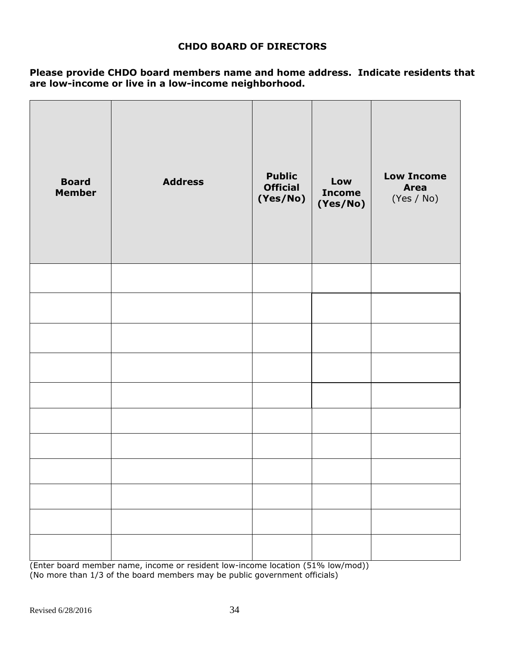## **CHDO BOARD OF DIRECTORS**

**Please provide CHDO board members name and home address. Indicate residents that are low-income or live in a low-income neighborhood.**

| <b>Board</b><br><b>Member</b> | <b>Address</b> | <b>Public</b><br><b>Official</b><br>(Yes/No) | Low<br><b>Income</b><br>(Yes/No) | <b>Low Income</b><br><b>Area</b><br>(Yes / No) |
|-------------------------------|----------------|----------------------------------------------|----------------------------------|------------------------------------------------|
|                               |                |                                              |                                  |                                                |
|                               |                |                                              |                                  |                                                |
|                               |                |                                              |                                  |                                                |
|                               |                |                                              |                                  |                                                |
|                               |                |                                              |                                  |                                                |
|                               |                |                                              |                                  |                                                |
|                               |                |                                              |                                  |                                                |
|                               |                |                                              |                                  |                                                |
|                               |                |                                              |                                  |                                                |
|                               |                |                                              |                                  |                                                |
|                               |                |                                              |                                  |                                                |

(Enter board member name, income or resident low-income location (51% low/mod)) (No more than 1/3 of the board members may be public government officials)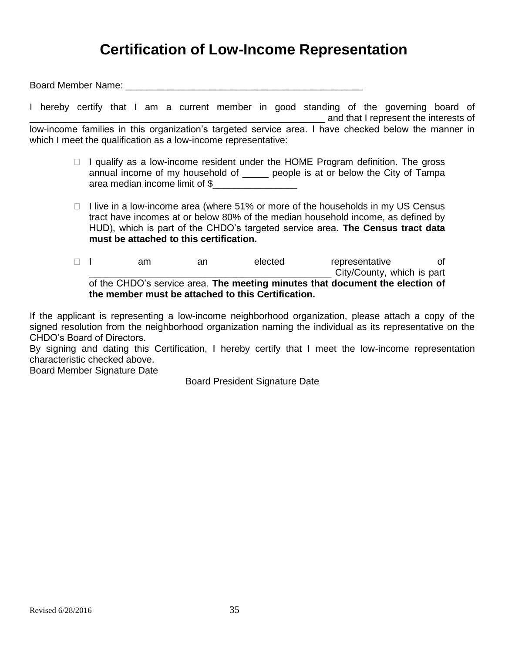## **Certification of Low-Income Representation**

Board Member Name: \_\_\_\_\_\_\_\_\_\_\_\_\_\_\_\_\_\_\_\_\_\_\_\_\_\_\_\_\_\_\_\_\_\_\_\_\_\_\_\_\_\_\_\_\_

I hereby certify that I am a current member in good standing of the governing board of \_\_\_\_\_\_\_\_\_\_\_\_\_\_\_\_\_\_\_\_\_\_\_\_\_\_\_\_\_\_\_\_\_\_\_\_\_\_\_\_\_\_\_\_\_\_\_\_\_\_\_\_\_\_\_\_ and that I represent the interests of low-income families in this organization's targeted service area. I have checked below the manner in which I meet the qualification as a low-income representative:

- $\Box$  I qualify as a low-income resident under the HOME Program definition. The gross annual income of my household of people is at or below the City of Tampa area median income limit of \$\_\_\_\_\_\_\_\_\_\_\_\_\_\_\_\_
- $\Box$  I live in a low-income area (where 51% or more of the households in my US Census tract have incomes at or below 80% of the median household income, as defined by HUD), which is part of the CHDO's targeted service area. **The Census tract data must be attached to this certification.**

I am an elected representative of City/County, which is part of the CHDO's service area. **The meeting minutes that document the election of the member must be attached to this Certification.** 

If the applicant is representing a low-income neighborhood organization, please attach a copy of the signed resolution from the neighborhood organization naming the individual as its representative on the CHDO's Board of Directors.

By signing and dating this Certification, I hereby certify that I meet the low-income representation characteristic checked above.

Board Member Signature Date

Board President Signature Date